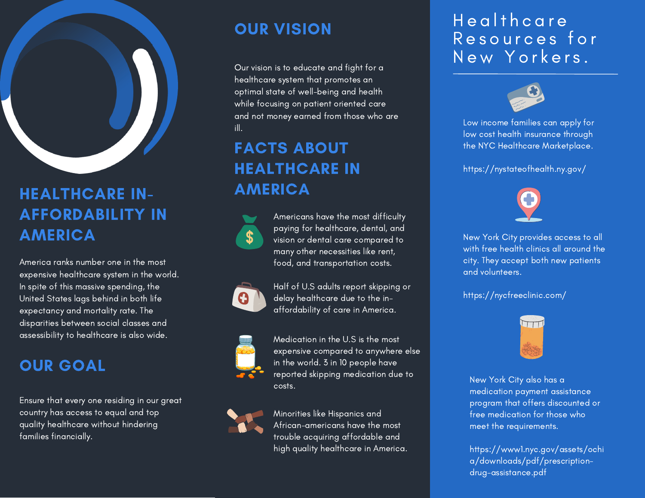

# HEALTHCARE IN-AFFORDABILITY IN AMERICA

America ranks number one in the most expensive healthcare system in the world. In spite of this massive spending, the United States lags behind in both life expectancy and mortality rate. The disparities between social classes and assessibility to healthcare is also wide.

#### OUR GOAL

Ensure that every one residing in our great country has access to equal and top quality healthcare without hindering families financially.

## OUR VISION

Our vision is to educate and fight for a healthcare system that promotes an optimal state of well-being and health while focusing on patient oriented care and not money earned from those who are ill.

# FACTS ABOUT HEALTHCARE IN AMERICA



Americans have the most difficulty paying for healthcare, dental, and vision or dental care compared to many other necessities like rent, food, and transportation costs.



Half of U.S adults report skipping or delay healthcare due to the inaffordability of care in America.



Medication in the U.S is the most expensive compared to anywhere else in the world. 3 in 10 people have reported skipping medication due to costs.



Minorities like Hispanics and African-americans have the most trouble acquiring affordable and high quality healthcare in America.

### Health care Resources for New Yorkers.



Low income families can apply for low cost health insurance through the NYC Healthcare Marketplace.

https://nystateofhealth.ny.gov/



New York City provides access to all with free health clinics all around the city. They accept both new patients and volunteers.

#### https://nycfreeclinic.com/



New York City also has a medication payment assistance program that offers discounted or free medication for those who meet the requirements.

https://www1.nyc.gov/assets/ochi a/downloads/pdf/prescriptiondrug-assistance.pdf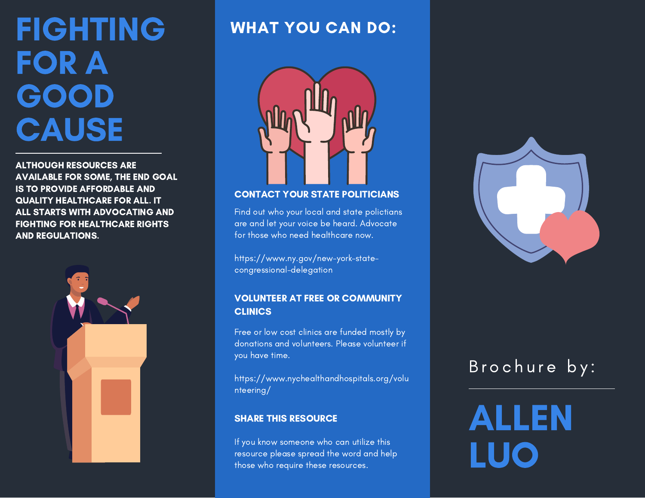# FIGHTING FOR A GOOD **CAUSE**

ALTHOUGH RESOURCES ARE AVAILABLE FOR SOME, THE END GOAL IS TO PROVIDE AFFORDABLE AND QUALITY HEALTHCARE FOR ALL. IT ALL STARTS WITH ADVOCATING AND FIGHTING FOR HEALTHCARE RIGHTS AND REGULATIONS.



#### WHAT YOU CAN DO:



#### CONTACT YOUR STATE POLITICIANS

Find out who your local and state polictians are and let your voice be heard. Advocate for those who need healthcare now.

https://www.ny.gov/new-york-statecongressional-delegation

#### VOLUNTEER AT FREE OR COMMUNITY **CLINICS**

Free or low cost clinics are funded mostly by donations and volunteers. Please volunteer if you have time.

https://www.nychealthandhospitals.org/volu nteering/

If you know someone who can utilize this resource please spread the word and help those who require these resources.



# Brochure by:

SHARE THIS RESOURCE **ALLEN** LUO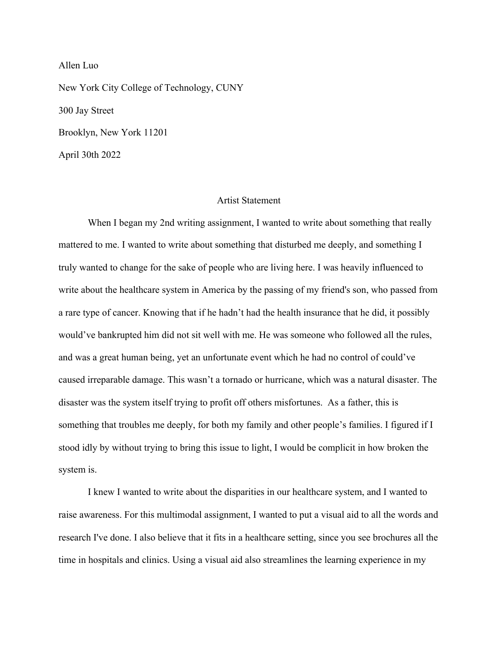Allen Luo New York City College of Technology, CUNY 300 Jay Street Brooklyn, New York 11201 April 30th 2022

#### **Artist Statement**

When I began my 2nd writing assignment, I wanted to write about something that really mattered to me. I wanted to write about something that disturbed me deeply, and something I truly wanted to change for the sake of people who are living here. I was heavily influenced to write about the healthcare system in America by the passing of my friend's son, who passed from a rare type of cancer. Knowing that if he hadn't had the health insurance that he did, it possibly would've bankrupted him did not sit well with me. He was someone who followed all the rules, and was a great human being, yet an unfortunate event which he had no control of could've caused irreparable damage. This wasn't a tornado or hurricane, which was a natural disaster. The disaster was the system itself trying to profit off others misfortunes. As a father, this is something that troubles me deeply, for both my family and other people's families. I figured if I stood idly by without trying to bring this issue to light, I would be complicit in how broken the system is.

I knew I wanted to write about the disparities in our healthcare system, and I wanted to raise awareness. For this multimodal assignment, I wanted to put a visual aid to all the words and research I've done. I also believe that it fits in a healthcare setting, since you see brochures all the time in hospitals and clinics. Using a visual aid also streamlines the learning experience in my